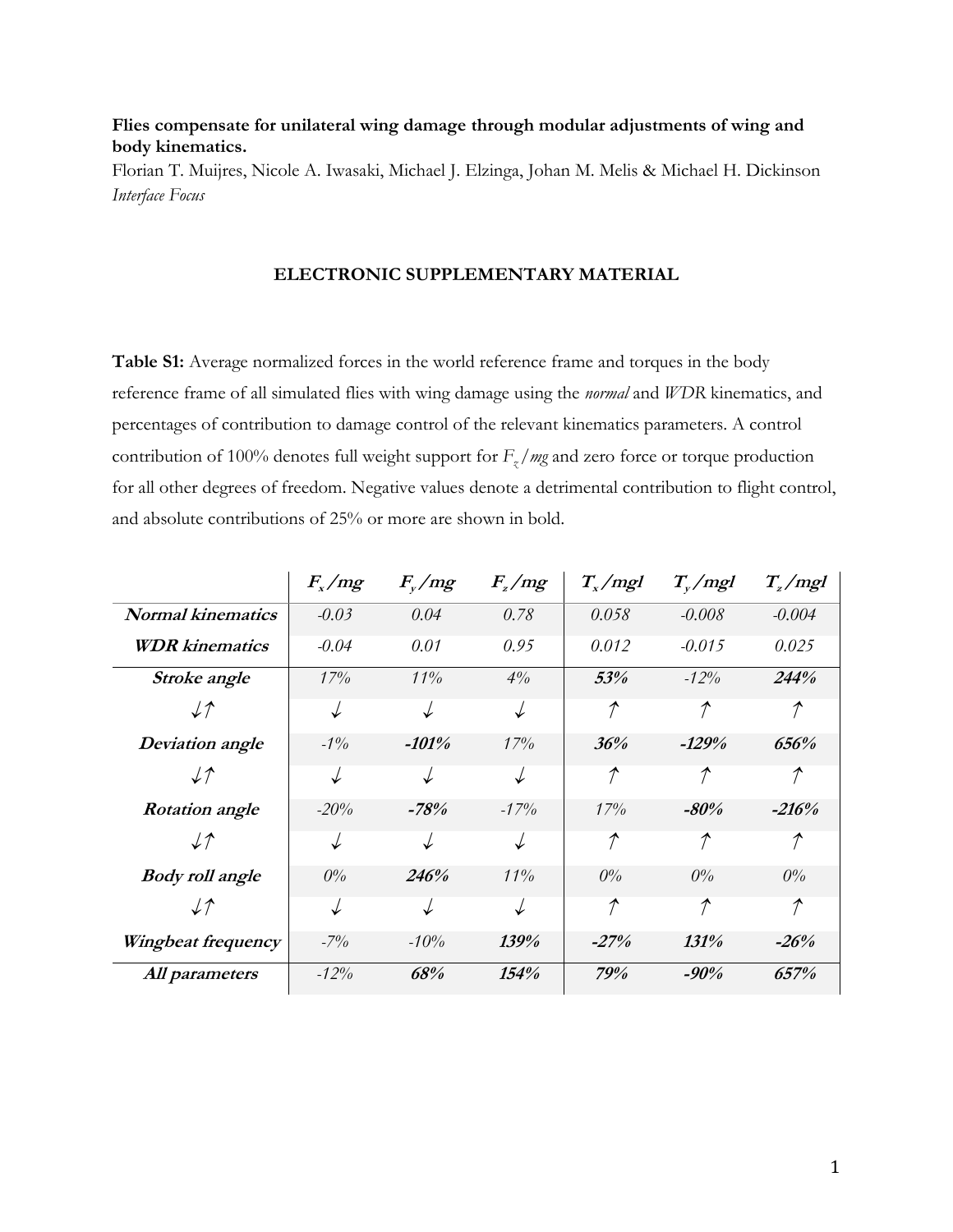## **Flies compensate for unilateral wing damage through modular adjustments of wing and body kinematics.**

Florian T. Muijres, Nicole A. Iwasaki, Michael J. Elzinga, Johan M. Melis & Michael H. Dickinson *Interface Focus* 

## **ELECTRONIC SUPPLEMENTARY MATERIAL**

**Table S1:** Average normalized forces in the world reference frame and torques in the body reference frame of all simulated flies with wing damage using the *normal* and *WDR* kinematics, and percentages of contribution to damage control of the relevant kinematics parameters. A control contribution of 100% denotes full weight support for *Fz /mg* and zero force or torque production for all other degrees of freedom. Negative values denote a detrimental contribution to flight control, and absolute contributions of 25% or more are shown in bold.

|                          | $F_{x}/mg$ | $F_{v}/mg$ | $F_{\rm z}/mg$ | $T_{x}/mgl$   | $T_{\rm v}/\text{mgl}$ | $T_{z}/mgl$         |
|--------------------------|------------|------------|----------------|---------------|------------------------|---------------------|
| <b>Normal kinematics</b> | $-0.03$    | 0.04       | 0.78           | 0.058         | $-0.008$               | $-0.004$            |
| <b>WDR</b> kinematics    | $-0.04$    | 0.01       | 0.95           | 0.012         | $-0.015$               | 0.025               |
| Stroke angle             | 17%        | 11%        | $4\%$          | 53%           | $-12\%$                | 244%                |
| $\downarrow$ $\uparrow$  | ↓          | ↓          | $\downarrow$   | $\mathcal{P}$ | $\mathcal{P}$          | $\mathcal{T}$       |
| Deviation angle          | $-1\%$     | $-101%$    | 17%            | 36%           | $-129%$                | 656%                |
| $\downarrow$ $\uparrow$  | ↓          | ↓          | $\downarrow$   | $\mathcal{T}$ | $\mathcal{P}$          | $\mathcal{P}$       |
| <b>Rotation</b> angle    | $-20%$     | $-78%$     | $-17\%$        | 17%           | $-80\%$                | $-216%$             |
| $\downarrow$ $\uparrow$  | ↓          | ↓          | $\downarrow$   | $\mathcal{T}$ | $\mathcal{P}$          | $\hat{\mathcal{T}}$ |
| <b>Body roll angle</b>   | $0\%$      | 246%       | 11%            | $0\%$         | $0\%$                  | $0\%$               |
| $\downarrow$ $\uparrow$  | ↓          | ↓          | $\downarrow$   | $\mathcal{P}$ | $\mathcal{T}$          | $\mathcal{T}$       |
| Wingbeat frequency       | $-7\%$     | $-10%$     | 139%           | $-27%$        | 131%                   | $-26%$              |
| All parameters           | $-12%$     | 68%        | 154%           | 79%           | $-90%$                 | 657%                |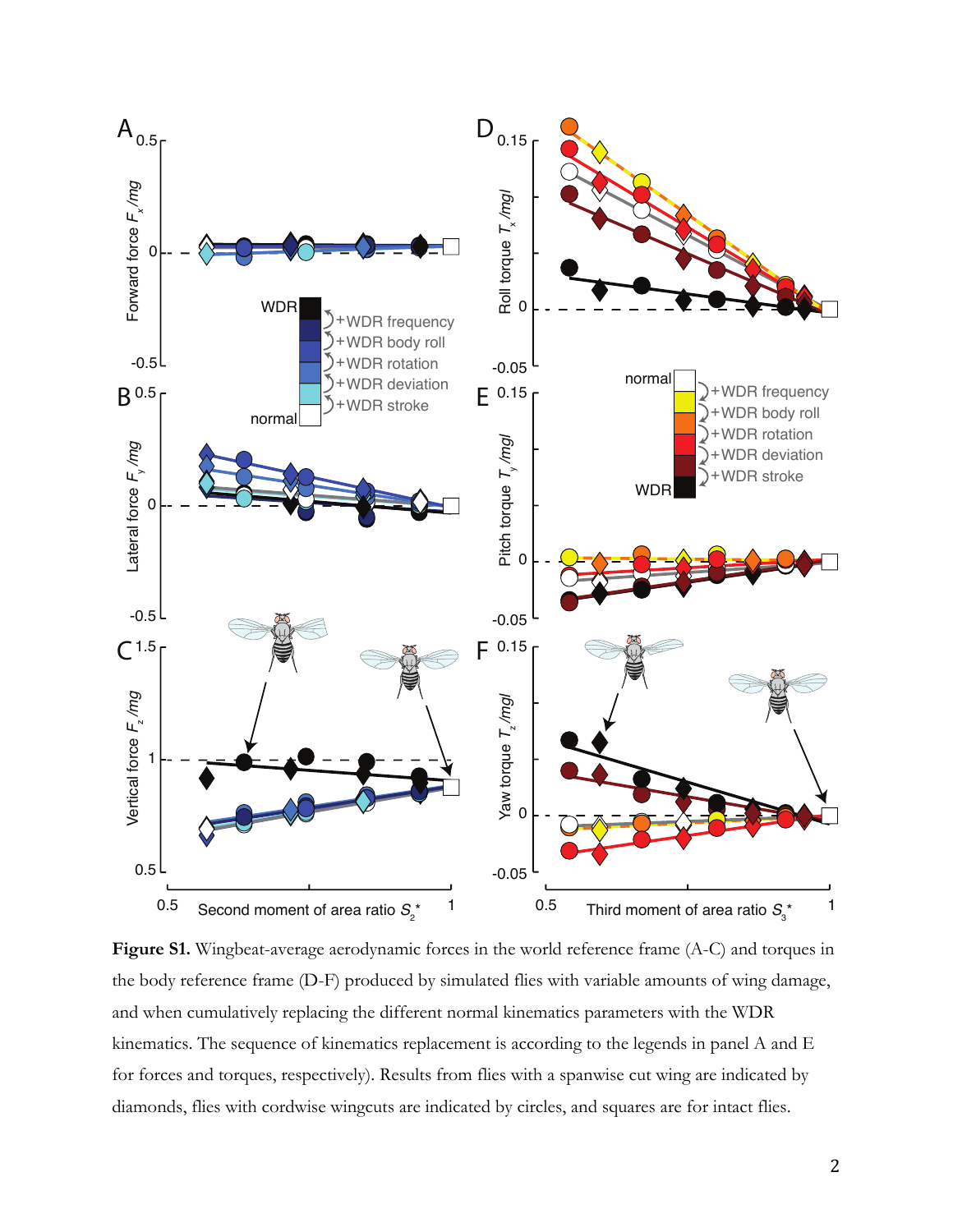

**Figure S1.** Wingbeat-average aerodynamic forces in the world reference frame (A-C) and torques in the body reference frame (D-F) produced by simulated flies with variable amounts of wing damage, and when cumulatively replacing the different normal kinematics parameters with the WDR kinematics. The sequence of kinematics replacement is according to the legends in panel A and E for forces and torques, respectively). Results from flies with a spanwise cut wing are indicated by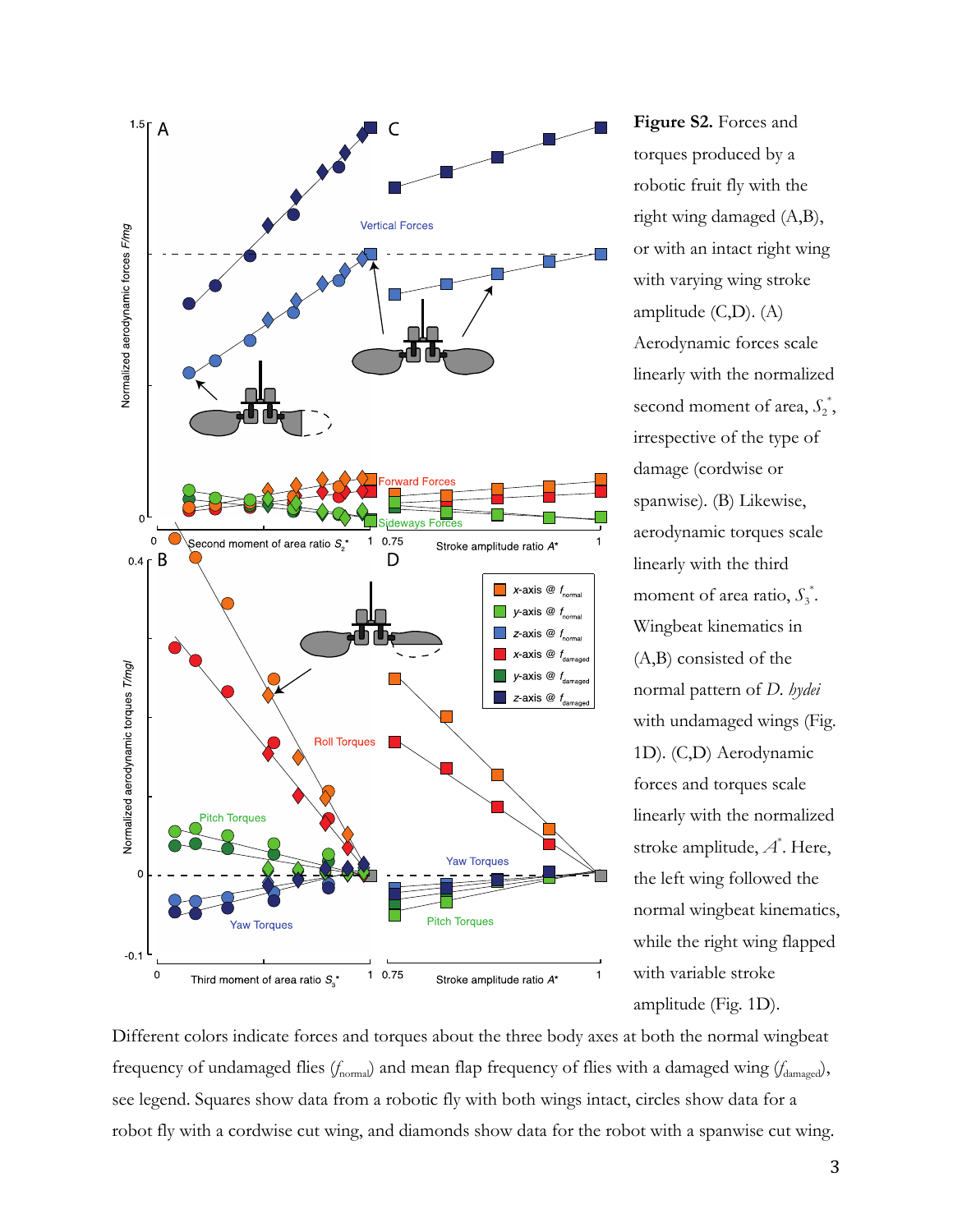

**Figure S2.** Forces and torques produced by a robotic fruit fly with the right wing damaged (A,B), or with an intact right wing with varying wing stroke amplitude (C,D). (A) Aerodynamic forces scale linearly with the normalized second moment of area,  $S_2^*$ , irrespective of the type of damage (cordwise or spanwise). (B) Likewise, aerodynamic torques scale linearly with the third moment of area ratio,  $S_3^*$ . Wingbeat kinematics in (A,B) consisted of the normal pattern of *D. hydei* with undamaged wings (Fig. 1D). (C,D) Aerodynamic forces and torques scale linearly with the normalized stroke amplitude, *A* \* . Here, the left wing followed the normal wingbeat kinematics, while the right wing flapped with variable stroke amplitude (Fig. 1D).

Different colors indicate forces and torques about the three body axes at both the normal wingbeat frequency of undamaged flies (*f*<sub>normal</sub>) and mean flap frequency of flies with a damaged wing (*f*<sub>damaged</sub>), see legend. Squares show data from a robotic fly with both wings intact, circles show data for a robot fly with a cordwise cut wing, and diamonds show data for the robot with a spanwise cut wing.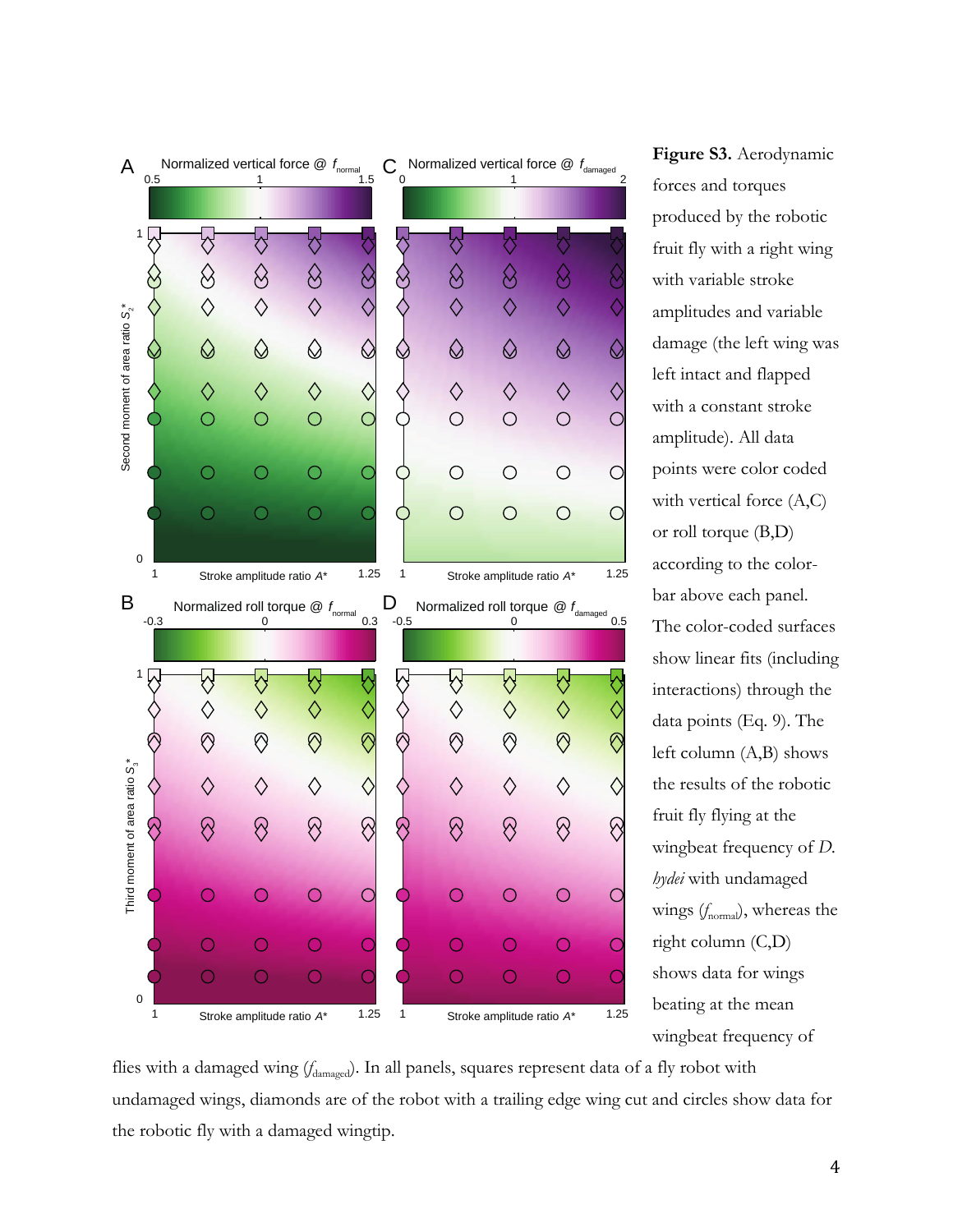

**Figure S3.** Aerodynamic forces and torques produced by the robotic fruit fly with a right wing with variable stroke amplitudes and variable damage (the left wing was left intact and flapped with a constant stroke amplitude). All data points were color coded with vertical force  $(A,C)$ or roll torque (B,D) according to the colorbar above each panel. The color-coded surfaces show linear fits (including interactions) through the data points (Eq. 9). The left column (A,B) shows the results of the robotic fruit fly flying at the wingbeat frequency of *D. hydei* with undamaged wings ( $f_{\text{normal}}$ ), whereas the right column (C,D) shows data for wings beating at the mean wingbeat frequency of

flies with a damaged wing (*f*<sub>damaged</sub>). In all panels, squares represent data of a fly robot with undamaged wings, diamonds are of the robot with a trailing edge wing cut and circles show data for the robotic fly with a damaged wingtip.